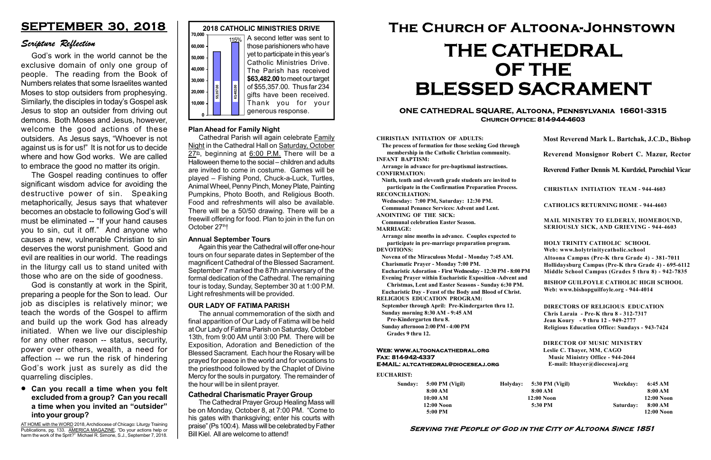#### Serving the People of God in the City of Altoona Since 1851

Sunday: 5:00 PM (Vigil) 8:00 AM 10:00 AM 12:00 Noon 5:00 PM

Holyday:

#### Web: www.altoonacathedral.org Fax: 814-942-4337 E-MAIL: altcathedral@dioceseaj.org

EUCHARIST:

#### CHRISTIAN INITIATION OF ADULTS:

The process of formation for those seeking God through membership in the Catholic Christian community. INFANT BAPTISM:

Arrange in advance for pre-baptismal instructions. CONFIRMATION:

Ninth, tenth and eleventh grade students are invited to participate in the Confirmation Preparation Process. RECONCILIATION:

Wednesday: 7:00 PM, Saturday: 12:30 PM. Communal Penance Services: Advent and Lent.

ANOINTING OF THE SICK:

Communal celebration Easter Season. MARRIAGE:

Arrange nine months in advance. Couples expected to participate in pre-marriage preparation program. DEVOTIONS:

Novena of the Miraculous Medal - Monday 7:45 AM.

Charismatic Prayer - Monday 7:00 PM.

Eucharistic Adoration - First Wednesday - 12:30 PM - 8:00 PM Evening Prayer within Eucharistic Exposition -Advent and

Christmas, Lent and Easter Seasons - Sunday 6:30 PM.

|                         | Most Reverend Mark L. Bartchak, J.C.D., Bishop<br>Reverend Monsignor Robert C. Mazur, Rector                                                                                    |           |                         |
|-------------------------|---------------------------------------------------------------------------------------------------------------------------------------------------------------------------------|-----------|-------------------------|
|                         |                                                                                                                                                                                 |           |                         |
|                         | Reverend Father Dennis M. Kurdziel, Parochial Vicar                                                                                                                             |           |                         |
|                         | <b>CHRISTIAN INITIATION TEAM - 944-4603</b>                                                                                                                                     |           |                         |
|                         | <b>CATHOLICS RETURNING HOME - 944-4603</b>                                                                                                                                      |           |                         |
|                         | MAIL MINISTRY TO ELDERLY, HOMEBOUND,<br><b>SERIOUSLY SICK, AND GRIEVING - 944-4603</b>                                                                                          |           |                         |
|                         | <b>HOLY TRINITY CATHOLIC SCHOOL</b><br>Web: www.holytrinitycatholic.school                                                                                                      |           |                         |
| М                       | Altoona Campus (Pre-K thru Grade 4) - 381-7011<br>Hollidaysburg Campus (Pre-K thru Grade 4) - 695-6112<br>Middle School Campus (Grades 5 thru 8) - 942-7835                     |           |                         |
| ł                       | <b>BISHOP GUILFOYLE CATHOLIC HIGH SCHOOL</b><br>Web: www.bishopguilfoyle.org - 944-4014                                                                                         |           |                         |
|                         | <b>DIRECTORS OF RELIGIOUS EDUCATION</b><br>Chris Laraia - Pre-K thru 8 - 312-7317<br>Jean Koury - 9 thru 12 - 949-2777<br><b>Religious Education Office: Sundays - 943-7424</b> |           |                         |
|                         | <b>DIRECTOR OF MUSIC MINISTRY</b><br>Leslie C. Thayer, MM, CAGO<br><b>Music Ministry Office - 944-2044</b><br>E-mail: lthayer@dioceseaj.org                                     |           |                         |
| 5:30 PM (Vigil)         |                                                                                                                                                                                 | Weekday:  | 6:45 AM                 |
| 8:00 AM<br>$12:00$ Noon |                                                                                                                                                                                 |           | 8:00 AM<br>12:00 Noon   |
|                         | 5:30 PM                                                                                                                                                                         | Saturday: | 8:00 AM<br>$12:00$ Noon |
|                         |                                                                                                                                                                                 |           |                         |

Eucharistic Day - Feast of the Body and Blood of Christ.

RELIGIOUS EDUCATION PROGRAM:

September through April: Pre-Kindergarten thru 12. Sunday morning 8:30 AM - 9:45 AM



Pre-Kindergarten thru 8.

Sunday afternoon 2:00 PM - 4:00 PM Grades 9 thru 12.

#### ONE CATHEDRAL SQUARE, Altoona, Pennsylvania 16601-3315 Church Office: 814-944-4603

# The Church of Altoona-Johnstown THE CATHEDRAL OF THE BLESSED SACRAMENT

#### Cathedral Charismatic Prayer Group

Cathedral Parish will again celebrate Family Night in the Cathedral Hall on Saturday, October  $27^{\underline{\text{th}}}$ , beginning at 6:00 P.M. There will be a Halloween theme to the social – children and adults are invited to come in costume. Games will be played – Fishing Pond, Chuck-a-Luck, Turtles, Animal Wheel, Penny Pinch, Money Plate, Painting Pumpkins, Photo Booth, and Religious Booth. Food and refreshments will also be available. There will be a 50/50 drawing. There will be a freewill offering for food. Plan to join in the fun on October 27th!

The Cathedral Prayer Group Healing Mass will be on Monday, October 8, at 7:00 PM. "Come to his gates with thanksgiving; enter his courts with praise" (Ps 100:4). Mass will be celebrated by Father Bill Kiel. All are welcome to attend!

#### OUR LADY OF FATIMA PARISH

The annual commemoration of the sixth and final apparition of Our Lady of Fatima will be held at Our Lady of Fatima Parish on Saturday, October 13th, from 9:00 AM until 3:00 PM. There will be Exposition, Adoration and Benediction of the Blessed Sacrament. Each hour the Rosary will be prayed for peace in the world and for vocations to the priesthood followed by the Chaplet of Divine Mercy for the souls in purgatory. The remainder of the hour will be in silent prayer.

#### Annual September Tours

Again this year the Cathedral will offer one-hour tours on four separate dates in September of the magnificent Cathedral of the Blessed Sacrament. September 7 marked the 87th anniversary of the formal dedication of the Cathedral. The remaining tour is today, Sunday, September 30 at 1:00 P.M. Light refreshments will be provided.

Can you recall a time when you felt excluded from a group? Can you recall a time when you invited an "outsider" into your group?

# SEPTEMBER 30, 2018

# Scripture Reflection

God's work in the world cannot be the exclusive domain of only one group of people. The reading from the Book of Numbers relates that some Israelites wanted Moses to stop outsiders from prophesying. Similarly, the disciples in today's Gospel ask Jesus to stop an outsider from driving out demons. Both Moses and Jesus, however, welcome the good actions of these outsiders. As Jesus says, "Whoever is not against us is for us!" It is not for us to decide where and how God works. We are called to embrace the good no matter its origin.

The Gospel reading continues to offer significant wisdom advice for avoiding the destructive power of sin. Speaking metaphorically, Jesus says that whatever becomes an obstacle to following God's will must be eliminated -- "If your hand causes you to sin, cut it off." And anyone who causes a new, vulnerable Christian to sin deserves the worst punishment. Good and evil are realities in our world. The readings in the liturgy call us to stand united with those who are on the side of goodness.

God is constantly at work in the Spirit, preparing a people for the Son to lead. Our job as disciples is relatively minor; we teach the words of the Gospel to affirm and build up the work God has already initiated. When we live our discipleship for any other reason -- status, security, power over others, wealth, a need for affection -- we run the risk of hindering God's work just as surely as did the quarreling disciples.

#### Plan Ahead for Family Night

AT HOME with the WORD 2018, Archdiocese of Chicago: Liturgy Training Publications, pg. 133. AMERICA MAGAZINE, "Do your actions help or harm the work of the Sprit?" Michael R. Simone, S.J., September 7, 2018.